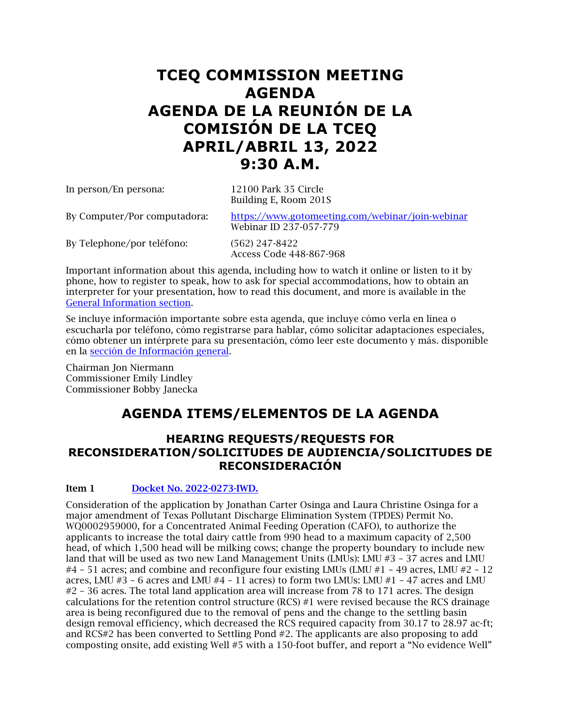# **TCEQ COMMISSION MEETING AGENDA AGENDA DE LA REUNIÓN DE LA COMISIÓN DE LA TCEQ APRIL/ABRIL 13, 2022 9:30 A.M.**

| In person/En persona:        | 12100 Park 35 Circle<br>Building E, Room 201S                              |
|------------------------------|----------------------------------------------------------------------------|
| By Computer/Por computadora: | https://www.gotomeeting.com/webinar/join-webinar<br>Webinar ID 237-057-779 |
| By Telephone/por teléfono:   | $(562)$ 247-8422<br>Access Code 448-867-968                                |

Important information about this agenda, including how to watch it online or listen to it by phone, how to register to speak, how to ask for special accommodations, how to obtain an interpreter for your presentation, how to read this document, and more is available in the [General Information section.](#page-15-0) 

Se incluye información importante sobre esta agenda, que incluye cómo verla en línea o escucharla por teléfono, cómo registrarse para hablar, cómo solicitar adaptaciones especiales, cómo obtener un intérprete para su presentación, cómo leer este documento y más. disponible en la [sección de Información general.](#page-15-0)

Chairman Jon Niermann Commissioner Emily Lindley Commissioner Bobby Janecka

## **AGENDA ITEMS/ELEMENTOS DE LA AGENDA**

## **HEARING REQUESTS/REQUESTS FOR RECONSIDERATION/SOLICITUDES DE AUDIENCIA/SOLICITUDES DE RECONSIDERACIÓN**

## Item 1 [Docket No. 2022-0273-IWD.](https://www.tceq.texas.gov/downloads/agency/decisions/agendas/backup/2022/2022-0273-iwd-index.pdf)

Consideration of the application by Jonathan Carter Osinga and Laura Christine Osinga for a major amendment of Texas Pollutant Discharge Elimination System (TPDES) Permit No. WQ0002959000, for a Concentrated Animal Feeding Operation (CAFO), to authorize the applicants to increase the total dairy cattle from 990 head to a maximum capacity of 2,500 head, of which 1,500 head will be milking cows; change the property boundary to include new land that will be used as two new Land Management Units (LMUs): LMU #3 – 37 acres and LMU #4 – 51 acres; and combine and reconfigure four existing LMUs (LMU #1 – 49 acres, LMU #2 – 12 acres, LMU  $#3 - 6$  acres and LMU  $#4 - 11$  acres) to form two LMUs: LMU  $#1 - 47$  acres and LMU #2 – 36 acres. The total land application area will increase from 78 to 171 acres. The design calculations for the retention control structure (RCS) #1 were revised because the RCS drainage area is being reconfigured due to the removal of pens and the change to the settling basin design removal efficiency, which decreased the RCS required capacity from 30.17 to 28.97 ac-ft; and RCS#2 has been converted to Settling Pond #2. The applicants are also proposing to add composting onsite, add existing Well #5 with a 150-foot buffer, and report a "No evidence Well"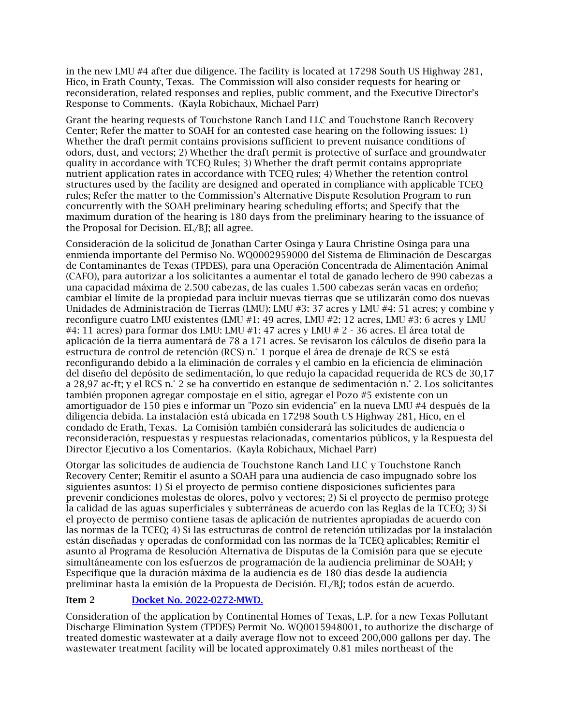in the new LMU #4 after due diligence. The facility is located at 17298 South US Highway 281, Hico, in Erath County, Texas. The Commission will also consider requests for hearing or reconsideration, related responses and replies, public comment, and the Executive Director's Response to Comments. (Kayla Robichaux, Michael Parr)

Grant the hearing requests of Touchstone Ranch Land LLC and Touchstone Ranch Recovery Center; Refer the matter to SOAH for an contested case hearing on the following issues: 1) Whether the draft permit contains provisions sufficient to prevent nuisance conditions of odors, dust, and vectors; 2) Whether the draft permit is protective of surface and groundwater quality in accordance with TCEQ Rules; 3) Whether the draft permit contains appropriate nutrient application rates in accordance with TCEQ rules; 4) Whether the retention control structures used by the facility are designed and operated in compliance with applicable TCEQ rules; Refer the matter to the Commission's Alternative Dispute Resolution Program to run concurrently with the SOAH preliminary hearing scheduling efforts; and Specify that the maximum duration of the hearing is 180 days from the preliminary hearing to the issuance of the Proposal for Decision. EL/BJ; all agree.

Consideración de la solicitud de Jonathan Carter Osinga y Laura Christine Osinga para una enmienda importante del Permiso No. WQ0002959000 del Sistema de Eliminación de Descargas de Contaminantes de Texas (TPDES), para una Operación Concentrada de Alimentación Animal (CAFO), para autorizar a los solicitantes a aumentar el total de ganado lechero de 990 cabezas a una capacidad máxima de 2.500 cabezas, de las cuales 1.500 cabezas serán vacas en ordeño; cambiar el límite de la propiedad para incluir nuevas tierras que se utilizarán como dos nuevas Unidades de Administración de Tierras (LMU): LMU #3: 37 acres y LMU #4: 51 acres; y combine y reconfigure cuatro LMU existentes (LMU #1: 49 acres, LMU #2: 12 acres, LMU #3: 6 acres y LMU #4: 11 acres) para formar dos LMU: LMU #1: 47 acres y LMU # 2 - 36 acres. El área total de aplicación de la tierra aumentará de 78 a 171 acres. Se revisaron los cálculos de diseño para la estructura de control de retención (RCS) n.° 1 porque el área de drenaje de RCS se está reconfigurando debido a la eliminación de corrales y el cambio en la eficiencia de eliminación del diseño del depósito de sedimentación, lo que redujo la capacidad requerida de RCS de 30,17 a 28,97 ac-ft; y el RCS n.° 2 se ha convertido en estanque de sedimentación n.° 2. Los solicitantes también proponen agregar compostaje en el sitio, agregar el Pozo #5 existente con un amortiguador de 150 pies e informar un "Pozo sin evidencia" en la nueva LMU #4 después de la diligencia debida. La instalación está ubicada en 17298 South US Highway 281, Hico, en el condado de Erath, Texas. La Comisión también considerará las solicitudes de audiencia o reconsideración, respuestas y respuestas relacionadas, comentarios públicos, y la Respuesta del Director Ejecutivo a los Comentarios. (Kayla Robichaux, Michael Parr)

Otorgar las solicitudes de audiencia de Touchstone Ranch Land LLC y Touchstone Ranch Recovery Center; Remitir el asunto a SOAH para una audiencia de caso impugnado sobre los siguientes asuntos: 1) Si el proyecto de permiso contiene disposiciones suficientes para prevenir condiciones molestas de olores, polvo y vectores; 2) Si el proyecto de permiso protege la calidad de las aguas superficiales y subterráneas de acuerdo con las Reglas de la TCEQ; 3) Si el proyecto de permiso contiene tasas de aplicación de nutrientes apropiadas de acuerdo con las normas de la TCEQ; 4) Si las estructuras de control de retención utilizadas por la instalación están diseñadas y operadas de conformidad con las normas de la TCEQ aplicables; Remitir el asunto al Programa de Resolución Alternativa de Disputas de la Comisión para que se ejecute simultáneamente con los esfuerzos de programación de la audiencia preliminar de SOAH; y Especifique que la duración máxima de la audiencia es de 180 días desde la audiencia preliminar hasta la emisión de la Propuesta de Decisión. EL/BJ; todos están de acuerdo.

## Item 2 [Docket No. 2022-0272-MWD.](https://www.tceq.texas.gov/downloads/agency/decisions/agendas/backup/2022/2022-0272-mwd-index.pdf)

Consideration of the application by Continental Homes of Texas, L.P. for a new Texas Pollutant Discharge Elimination System (TPDES) Permit No. WQ0015948001, to authorize the discharge of treated domestic wastewater at a daily average flow not to exceed 200,000 gallons per day. The wastewater treatment facility will be located approximately 0.81 miles northeast of the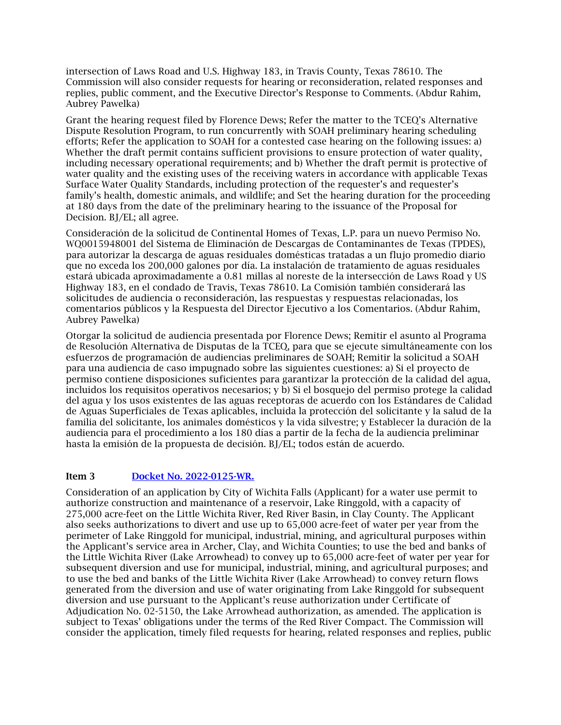intersection of Laws Road and U.S. Highway 183, in Travis County, Texas 78610. The Commission will also consider requests for hearing or reconsideration, related responses and replies, public comment, and the Executive Director's Response to Comments. (Abdur Rahim, Aubrey Pawelka)

Grant the hearing request filed by Florence Dews; Refer the matter to the TCEQ's Alternative Dispute Resolution Program, to run concurrently with SOAH preliminary hearing scheduling efforts; Refer the application to SOAH for a contested case hearing on the following issues: a) Whether the draft permit contains sufficient provisions to ensure protection of water quality, including necessary operational requirements; and b) Whether the draft permit is protective of water quality and the existing uses of the receiving waters in accordance with applicable Texas Surface Water Quality Standards, including protection of the requester's and requester's family's health, domestic animals, and wildlife; and Set the hearing duration for the proceeding at 180 days from the date of the preliminary hearing to the issuance of the Proposal for Decision. BJ/EL; all agree.

Consideración de la solicitud de Continental Homes of Texas, L.P. para un nuevo Permiso No. WQ0015948001 del Sistema de Eliminación de Descargas de Contaminantes de Texas (TPDES), para autorizar la descarga de aguas residuales domésticas tratadas a un flujo promedio diario que no exceda los 200,000 galones por día. La instalación de tratamiento de aguas residuales estará ubicada aproximadamente a 0.81 millas al noreste de la intersección de Laws Road y US Highway 183, en el condado de Travis, Texas 78610. La Comisión también considerará las solicitudes de audiencia o reconsideración, las respuestas y respuestas relacionadas, los comentarios públicos y la Respuesta del Director Ejecutivo a los Comentarios. (Abdur Rahim, Aubrey Pawelka)

Otorgar la solicitud de audiencia presentada por Florence Dews; Remitir el asunto al Programa de Resolución Alternativa de Disputas de la TCEQ, para que se ejecute simultáneamente con los esfuerzos de programación de audiencias preliminares de SOAH; Remitir la solicitud a SOAH para una audiencia de caso impugnado sobre las siguientes cuestiones: a) Si el proyecto de permiso contiene disposiciones suficientes para garantizar la protección de la calidad del agua, incluidos los requisitos operativos necesarios; y b) Si el bosquejo del permiso protege la calidad del agua y los usos existentes de las aguas receptoras de acuerdo con los Estándares de Calidad de Aguas Superficiales de Texas aplicables, incluida la protección del solicitante y la salud de la familia del solicitante, los animales domésticos y la vida silvestre; y Establecer la duración de la audiencia para el procedimiento a los 180 días a partir de la fecha de la audiencia preliminar hasta la emisión de la propuesta de decisión. BJ/EL; todos están de acuerdo.

## Item 3 [Docket No. 2022-0125-WR.](https://www.tceq.texas.gov/downloads/agency/decisions/agendas/backup/2022/2022-0125-wr-index.pdf)

Consideration of an application by City of Wichita Falls (Applicant) for a water use permit to authorize construction and maintenance of a reservoir, Lake Ringgold, with a capacity of 275,000 acre-feet on the Little Wichita River, Red River Basin, in Clay County. The Applicant also seeks authorizations to divert and use up to 65,000 acre-feet of water per year from the perimeter of Lake Ringgold for municipal, industrial, mining, and agricultural purposes within the Applicant's service area in Archer, Clay, and Wichita Counties; to use the bed and banks of the Little Wichita River (Lake Arrowhead) to convey up to 65,000 acre-feet of water per year for subsequent diversion and use for municipal, industrial, mining, and agricultural purposes; and to use the bed and banks of the Little Wichita River (Lake Arrowhead) to convey return flows generated from the diversion and use of water originating from Lake Ringgold for subsequent diversion and use pursuant to the Applicant's reuse authorization under Certificate of Adjudication No. 02-5150, the Lake Arrowhead authorization, as amended. The application is subject to Texas' obligations under the terms of the Red River Compact. The Commission will consider the application, timely filed requests for hearing, related responses and replies, public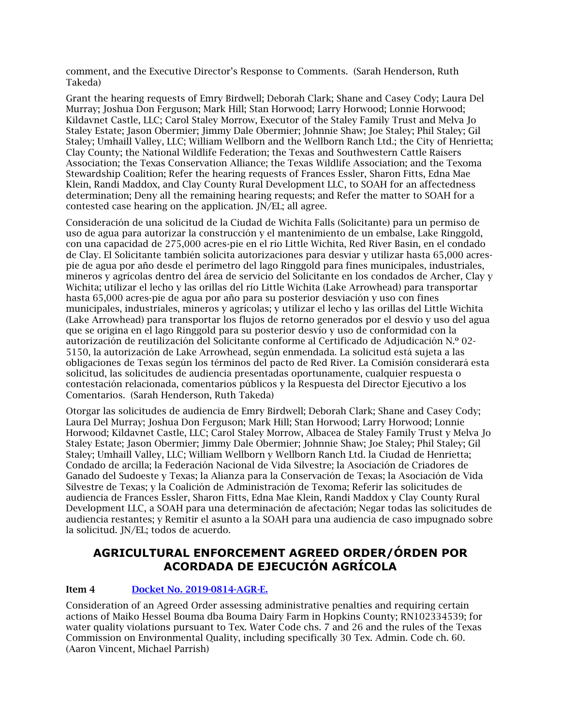comment, and the Executive Director's Response to Comments. (Sarah Henderson, Ruth Takeda)

Grant the hearing requests of Emry Birdwell; Deborah Clark; Shane and Casey Cody; Laura Del Murray; Joshua Don Ferguson; Mark Hill; Stan Horwood; Larry Horwood; Lonnie Horwood; Kildavnet Castle, LLC; Carol Staley Morrow, Executor of the Staley Family Trust and Melva Jo Staley Estate; Jason Obermier; Jimmy Dale Obermier; Johnnie Shaw; Joe Staley; Phil Staley; Gil Staley; Umhaill Valley, LLC; William Wellborn and the Wellborn Ranch Ltd.; the City of Henrietta; Clay County; the National Wildlife Federation; the Texas and Southwestern Cattle Raisers Association; the Texas Conservation Alliance; the Texas Wildlife Association; and the Texoma Stewardship Coalition; Refer the hearing requests of Frances Essler, Sharon Fitts, Edna Mae Klein, Randi Maddox, and Clay County Rural Development LLC, to SOAH for an affectedness determination; Deny all the remaining hearing requests; and Refer the matter to SOAH for a contested case hearing on the application. JN/EL; all agree.

Consideración de una solicitud de la Ciudad de Wichita Falls (Solicitante) para un permiso de uso de agua para autorizar la construcción y el mantenimiento de un embalse, Lake Ringgold, con una capacidad de 275,000 acres-pie en el río Little Wichita, Red River Basin, en el condado de Clay. El Solicitante también solicita autorizaciones para desviar y utilizar hasta 65,000 acrespie de agua por año desde el perímetro del lago Ringgold para fines municipales, industriales, mineros y agrícolas dentro del área de servicio del Solicitante en los condados de Archer, Clay y Wichita; utilizar el lecho y las orillas del río Little Wichita (Lake Arrowhead) para transportar hasta 65,000 acres-pie de agua por año para su posterior desviación y uso con fines municipales, industriales, mineros y agrícolas; y utilizar el lecho y las orillas del Little Wichita (Lake Arrowhead) para transportar los flujos de retorno generados por el desvío y uso del agua que se origina en el lago Ringgold para su posterior desvío y uso de conformidad con la autorización de reutilización del Solicitante conforme al Certificado de Adjudicación N.º 02- 5150, la autorización de Lake Arrowhead, según enmendada. La solicitud está sujeta a las obligaciones de Texas según los términos del pacto de Red River. La Comisión considerará esta solicitud, las solicitudes de audiencia presentadas oportunamente, cualquier respuesta o contestación relacionada, comentarios públicos y la Respuesta del Director Ejecutivo a los Comentarios. (Sarah Henderson, Ruth Takeda)

Otorgar las solicitudes de audiencia de Emry Birdwell; Deborah Clark; Shane and Casey Cody; Laura Del Murray; Joshua Don Ferguson; Mark Hill; Stan Horwood; Larry Horwood; Lonnie Horwood; Kildavnet Castle, LLC; Carol Staley Morrow, Albacea de Staley Family Trust y Melva Jo Staley Estate; Jason Obermier; Jimmy Dale Obermier; Johnnie Shaw; Joe Staley; Phil Staley; Gil Staley; Umhaill Valley, LLC; William Wellborn y Wellborn Ranch Ltd. la Ciudad de Henrietta; Condado de arcilla; la Federación Nacional de Vida Silvestre; la Asociación de Criadores de Ganado del Sudoeste y Texas; la Alianza para la Conservación de Texas; la Asociación de Vida Silvestre de Texas; y la Coalición de Administración de Texoma; Referir las solicitudes de audiencia de Frances Essler, Sharon Fitts, Edna Mae Klein, Randi Maddox y Clay County Rural Development LLC, a SOAH para una determinación de afectación; Negar todas las solicitudes de audiencia restantes; y Remitir el asunto a la SOAH para una audiencia de caso impugnado sobre la solicitud. JN/EL; todos de acuerdo.

## **AGRICULTURAL ENFORCEMENT AGREED ORDER/ÓRDEN POR ACORDADA DE EJECUCIÓN AGRÍCOLA**

## Item 4 [Docket No. 2019-0814-AGR-E.](https://www.tceq.texas.gov/downloads/agency/decisions/agendas/backup/2019/2019-0814-agr-e.pdf)

Consideration of an Agreed Order assessing administrative penalties and requiring certain actions of Maiko Hessel Bouma dba Bouma Dairy Farm in Hopkins County; RN102334539; for water quality violations pursuant to Tex. Water Code chs. 7 and 26 and the rules of the Texas Commission on Environmental Quality, including specifically 30 Tex. Admin. Code ch. 60. (Aaron Vincent, Michael Parrish)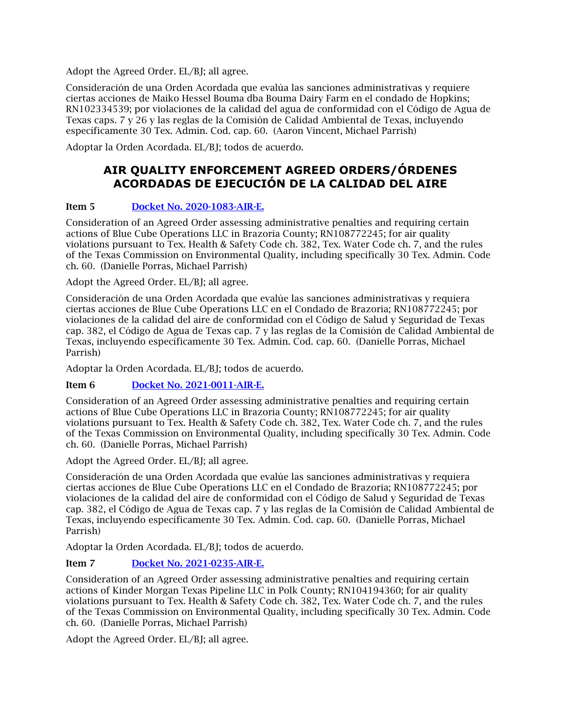Adopt the Agreed Order. EL/BJ; all agree.

Consideración de una Orden Acordada que evalúa las sanciones administrativas y requiere ciertas acciones de Maiko Hessel Bouma dba Bouma Dairy Farm en el condado de Hopkins; RN102334539; por violaciones de la calidad del agua de conformidad con el Código de Agua de Texas caps. 7 y 26 y las reglas de la Comisión de Calidad Ambiental de Texas, incluyendo específicamente 30 Tex. Admin. Cod. cap. 60. (Aaron Vincent, Michael Parrish)

Adoptar la Orden Acordada. EL/BJ; todos de acuerdo.

## **AIR QUALITY ENFORCEMENT AGREED ORDERS/ÓRDENES ACORDADAS DE EJECUCIÓN DE LA CALIDAD DEL AIRE**

## Item 5 [Docket No. 2020-1083-AIR-E.](https://www.tceq.texas.gov/downloads/agency/decisions/agendas/backup/2020/2020-1083-air-e.pdf)

Consideration of an Agreed Order assessing administrative penalties and requiring certain actions of Blue Cube Operations LLC in Brazoria County; RN108772245; for air quality violations pursuant to Tex. Health & Safety Code ch. 382, Tex. Water Code ch. 7, and the rules of the Texas Commission on Environmental Quality, including specifically 30 Tex. Admin. Code ch. 60. (Danielle Porras, Michael Parrish)

Adopt the Agreed Order. EL/BJ; all agree.

Consideración de una Orden Acordada que evalúe las sanciones administrativas y requiera ciertas acciones de Blue Cube Operations LLC en el Condado de Brazoria; RN108772245; por violaciones de la calidad del aire de conformidad con el Código de Salud y Seguridad de Texas cap. 382, el Código de Agua de Texas cap. 7 y las reglas de la Comisión de Calidad Ambiental de Texas, incluyendo específicamente 30 Tex. Admin. Cod. cap. 60. (Danielle Porras, Michael Parrish)

Adoptar la Orden Acordada. EL/BJ; todos de acuerdo.

## Item 6 [Docket No. 2021-0011-AIR-E.](https://www.tceq.texas.gov/downloads/agency/decisions/agendas/backup/2021/2021-0011-air-e.pdf)

Consideration of an Agreed Order assessing administrative penalties and requiring certain actions of Blue Cube Operations LLC in Brazoria County; RN108772245; for air quality violations pursuant to Tex. Health & Safety Code ch. 382, Tex. Water Code ch. 7, and the rules of the Texas Commission on Environmental Quality, including specifically 30 Tex. Admin. Code ch. 60. (Danielle Porras, Michael Parrish)

Adopt the Agreed Order. EL/BJ; all agree.

Consideración de una Orden Acordada que evalúe las sanciones administrativas y requiera ciertas acciones de Blue Cube Operations LLC en el Condado de Brazoria; RN108772245; por violaciones de la calidad del aire de conformidad con el Código de Salud y Seguridad de Texas cap. 382, el Código de Agua de Texas cap. 7 y las reglas de la Comisión de Calidad Ambiental de Texas, incluyendo específicamente 30 Tex. Admin. Cod. cap. 60. (Danielle Porras, Michael Parrish)

Adoptar la Orden Acordada. EL/BJ; todos de acuerdo.

## Item 7 [Docket No. 2021-0235-AIR-E.](https://www.tceq.texas.gov/downloads/agency/decisions/agendas/backup/2021/2021-0235-air-e.pdf)

Consideration of an Agreed Order assessing administrative penalties and requiring certain actions of Kinder Morgan Texas Pipeline LLC in Polk County; RN104194360; for air quality violations pursuant to Tex. Health & Safety Code ch. 382, Tex. Water Code ch. 7, and the rules of the Texas Commission on Environmental Quality, including specifically 30 Tex. Admin. Code ch. 60. (Danielle Porras, Michael Parrish)

Adopt the Agreed Order. EL/BJ; all agree.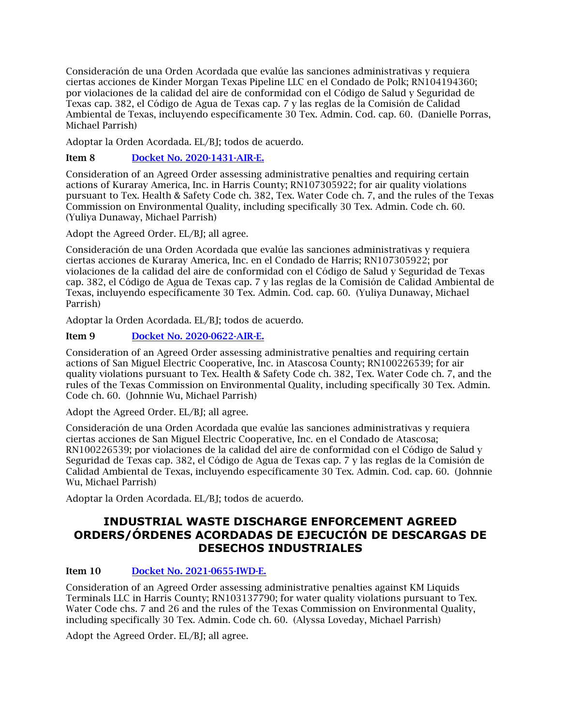Consideración de una Orden Acordada que evalúe las sanciones administrativas y requiera ciertas acciones de Kinder Morgan Texas Pipeline LLC en el Condado de Polk; RN104194360; por violaciones de la calidad del aire de conformidad con el Código de Salud y Seguridad de Texas cap. 382, el Código de Agua de Texas cap. 7 y las reglas de la Comisión de Calidad Ambiental de Texas, incluyendo específicamente 30 Tex. Admin. Cod. cap. 60. (Danielle Porras, Michael Parrish)

Adoptar la Orden Acordada. EL/BJ; todos de acuerdo.

## Item 8 [Docket No. 2020-1431-AIR-E.](https://www.tceq.texas.gov/downloads/agency/decisions/agendas/backup/2020/2020-1431-air-e.pdf)

Consideration of an Agreed Order assessing administrative penalties and requiring certain actions of Kuraray America, Inc. in Harris County; RN107305922; for air quality violations pursuant to Tex. Health & Safety Code ch. 382, Tex. Water Code ch. 7, and the rules of the Texas Commission on Environmental Quality, including specifically 30 Tex. Admin. Code ch. 60. (Yuliya Dunaway, Michael Parrish)

Adopt the Agreed Order. EL/BJ; all agree.

Consideración de una Orden Acordada que evalúe las sanciones administrativas y requiera ciertas acciones de Kuraray America, Inc. en el Condado de Harris; RN107305922; por violaciones de la calidad del aire de conformidad con el Código de Salud y Seguridad de Texas cap. 382, el Código de Agua de Texas cap. 7 y las reglas de la Comisión de Calidad Ambiental de Texas, incluyendo específicamente 30 Tex. Admin. Cod. cap. 60. (Yuliya Dunaway, Michael Parrish)

Adoptar la Orden Acordada. EL/BJ; todos de acuerdo.

## Item 9 [Docket No. 2020-0622-AIR-E.](https://www.tceq.texas.gov/downloads/agency/decisions/agendas/backup/2020/2020-0622-air-e.pdf)

Consideration of an Agreed Order assessing administrative penalties and requiring certain actions of San Miguel Electric Cooperative, Inc. in Atascosa County; RN100226539; for air quality violations pursuant to Tex. Health & Safety Code ch. 382, Tex. Water Code ch. 7, and the rules of the Texas Commission on Environmental Quality, including specifically 30 Tex. Admin. Code ch. 60. (Johnnie Wu, Michael Parrish)

Adopt the Agreed Order. EL/BJ; all agree.

Consideración de una Orden Acordada que evalúe las sanciones administrativas y requiera ciertas acciones de San Miguel Electric Cooperative, Inc. en el Condado de Atascosa; RN100226539; por violaciones de la calidad del aire de conformidad con el Código de Salud y Seguridad de Texas cap. 382, el Código de Agua de Texas cap. 7 y las reglas de la Comisión de Calidad Ambiental de Texas, incluyendo específicamente 30 Tex. Admin. Cod. cap. 60. (Johnnie Wu, Michael Parrish)

Adoptar la Orden Acordada. EL/BJ; todos de acuerdo.

## **INDUSTRIAL WASTE DISCHARGE ENFORCEMENT AGREED ORDERS/ÓRDENES ACORDADAS DE EJECUCIÓN DE DESCARGAS DE DESECHOS INDUSTRIALES**

## Item 10 [Docket No. 2021-0655-IWD-E.](https://www.tceq.texas.gov/downloads/agency/decisions/agendas/backup/2021/2021-0655-iwd-e.pdf)

Consideration of an Agreed Order assessing administrative penalties against KM Liquids Terminals LLC in Harris County; RN103137790; for water quality violations pursuant to Tex. Water Code chs. 7 and 26 and the rules of the Texas Commission on Environmental Quality, including specifically 30 Tex. Admin. Code ch. 60. (Alyssa Loveday, Michael Parrish)

Adopt the Agreed Order. EL/BI: all agree.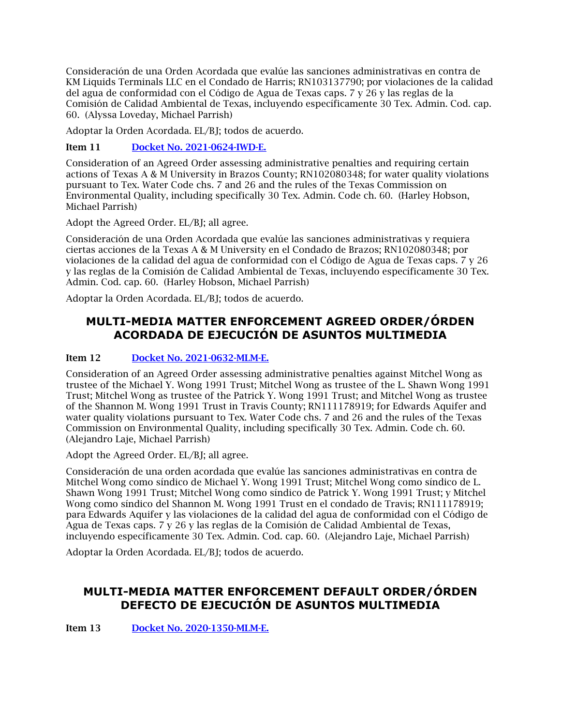Consideración de una Orden Acordada que evalúe las sanciones administrativas en contra de KM Liquids Terminals LLC en el Condado de Harris; RN103137790; por violaciones de la calidad del agua de conformidad con el Código de Agua de Texas caps. 7 y 26 y las reglas de la Comisión de Calidad Ambiental de Texas, incluyendo específicamente 30 Tex. Admin. Cod. cap. 60. (Alyssa Loveday, Michael Parrish)

Adoptar la Orden Acordada. EL/BJ; todos de acuerdo.

Item 11 [Docket No. 2021-0624-IWD-E.](https://www.tceq.texas.gov/downloads/agency/decisions/agendas/backup/2021/2021-0624-iwd-e.pdf)

Consideration of an Agreed Order assessing administrative penalties and requiring certain actions of Texas A & M University in Brazos County; RN102080348; for water quality violations pursuant to Tex. Water Code chs. 7 and 26 and the rules of the Texas Commission on Environmental Quality, including specifically 30 Tex. Admin. Code ch. 60. (Harley Hobson, Michael Parrish)

Adopt the Agreed Order. EL/BJ; all agree.

Consideración de una Orden Acordada que evalúe las sanciones administrativas y requiera ciertas acciones de la Texas A & M University en el Condado de Brazos; RN102080348; por violaciones de la calidad del agua de conformidad con el Código de Agua de Texas caps. 7 y 26 y las reglas de la Comisión de Calidad Ambiental de Texas, incluyendo específicamente 30 Tex. Admin. Cod. cap. 60. (Harley Hobson, Michael Parrish)

Adoptar la Orden Acordada. EL/BJ; todos de acuerdo.

## **MULTI-MEDIA MATTER ENFORCEMENT AGREED ORDER/ÓRDEN ACORDADA DE EJECUCIÓN DE ASUNTOS MULTIMEDIA**

## Item 12 [Docket No. 2021-0632-MLM-E.](https://www.tceq.texas.gov/downloads/agency/decisions/agendas/backup/2021/2021-0632-mlm-e.pdf)

Consideration of an Agreed Order assessing administrative penalties against Mitchel Wong as trustee of the Michael Y. Wong 1991 Trust; Mitchel Wong as trustee of the L. Shawn Wong 1991 Trust; Mitchel Wong as trustee of the Patrick Y. Wong 1991 Trust; and Mitchel Wong as trustee of the Shannon M. Wong 1991 Trust in Travis County; RN111178919; for Edwards Aquifer and water quality violations pursuant to Tex. Water Code chs. 7 and 26 and the rules of the Texas Commission on Environmental Quality, including specifically 30 Tex. Admin. Code ch. 60. (Alejandro Laje, Michael Parrish)

Adopt the Agreed Order. EL/BJ; all agree.

Consideración de una orden acordada que evalúe las sanciones administrativas en contra de Mitchel Wong como síndico de Michael Y. Wong 1991 Trust; Mitchel Wong como síndico de L. Shawn Wong 1991 Trust; Mitchel Wong como síndico de Patrick Y. Wong 1991 Trust; y Mitchel Wong como síndico del Shannon M. Wong 1991 Trust en el condado de Travis; RN111178919; para Edwards Aquifer y las violaciones de la calidad del agua de conformidad con el Código de Agua de Texas caps. 7 y 26 y las reglas de la Comisión de Calidad Ambiental de Texas, incluyendo específicamente 30 Tex. Admin. Cod. cap. 60. (Alejandro Laje, Michael Parrish)

Adoptar la Orden Acordada. EL/BJ; todos de acuerdo.

## **MULTI-MEDIA MATTER ENFORCEMENT DEFAULT ORDER/ÓRDEN DEFECTO DE EJECUCIÓN DE ASUNTOS MULTIMEDIA**

Item 13 [Docket No. 2020-1350-MLM-E.](https://www.tceq.texas.gov/downloads/agency/decisions/agendas/backup/2020/2020-1350-mlm-e.pdf)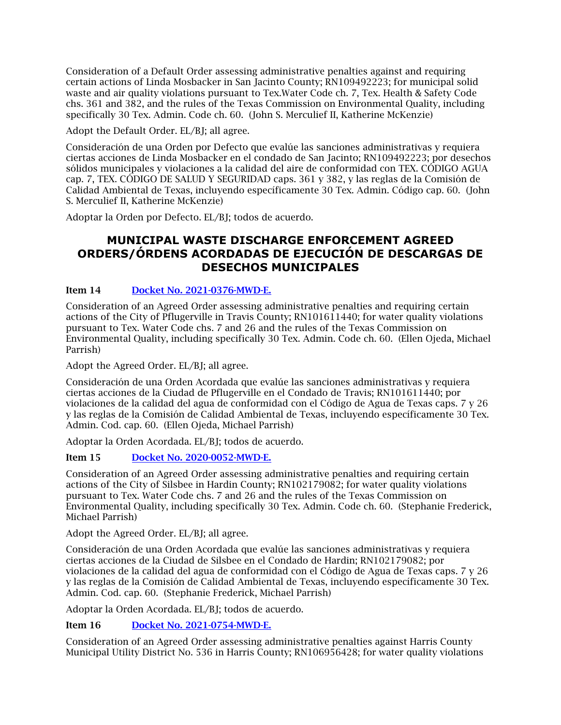Consideration of a Default Order assessing administrative penalties against and requiring certain actions of Linda Mosbacker in San Jacinto County; RN109492223; for municipal solid waste and air quality violations pursuant to Tex.Water Code ch. 7, Tex. Health & Safety Code chs. 361 and 382, and the rules of the Texas Commission on Environmental Quality, including specifically 30 Tex. Admin. Code ch. 60. (John S. Merculief II, Katherine McKenzie)

Adopt the Default Order. EL/BJ; all agree.

Consideración de una Orden por Defecto que evalúe las sanciones administrativas y requiera ciertas acciones de Linda Mosbacker en el condado de San Jacinto; RN109492223; por desechos sólidos municipales y violaciones a la calidad del aire de conformidad con TEX. CÓDIGO AGUA cap. 7, TEX. CÓDIGO DE SALUD Y SEGURIDAD caps. 361 y 382, y las reglas de la Comisión de Calidad Ambiental de Texas, incluyendo específicamente 30 Tex. Admin. Código cap. 60. (John S. Merculief II, Katherine McKenzie)

Adoptar la Orden por Defecto. EL/BJ; todos de acuerdo.

## **MUNICIPAL WASTE DISCHARGE ENFORCEMENT AGREED ORDERS/ÓRDENS ACORDADAS DE EJECUCIÓN DE DESCARGAS DE DESECHOS MUNICIPALES**

## Item 14 [Docket No. 2021-0376-MWD-E.](https://www.tceq.texas.gov/downloads/agency/decisions/agendas/backup/2021/2021-0376-mwd-e.pdf)

Consideration of an Agreed Order assessing administrative penalties and requiring certain actions of the City of Pflugerville in Travis County; RN101611440; for water quality violations pursuant to Tex. Water Code chs. 7 and 26 and the rules of the Texas Commission on Environmental Quality, including specifically 30 Tex. Admin. Code ch. 60. (Ellen Ojeda, Michael Parrish)

Adopt the Agreed Order. EL/BJ; all agree.

Consideración de una Orden Acordada que evalúe las sanciones administrativas y requiera ciertas acciones de la Ciudad de Pflugerville en el Condado de Travis; RN101611440; por violaciones de la calidad del agua de conformidad con el Código de Agua de Texas caps. 7 y 26 y las reglas de la Comisión de Calidad Ambiental de Texas, incluyendo específicamente 30 Tex. Admin. Cod. cap. 60. (Ellen Ojeda, Michael Parrish)

Adoptar la Orden Acordada. EL/BJ; todos de acuerdo.

## Item 15 [Docket No. 2020-0052-MWD-E.](https://www.tceq.texas.gov/downloads/agency/decisions/agendas/backup/2020/2020-0052-mwd-e.pdf)

Consideration of an Agreed Order assessing administrative penalties and requiring certain actions of the City of Silsbee in Hardin County; RN102179082; for water quality violations pursuant to Tex. Water Code chs. 7 and 26 and the rules of the Texas Commission on Environmental Quality, including specifically 30 Tex. Admin. Code ch. 60. (Stephanie Frederick, Michael Parrish)

Adopt the Agreed Order. EL/BJ; all agree.

Consideración de una Orden Acordada que evalúe las sanciones administrativas y requiera ciertas acciones de la Ciudad de Silsbee en el Condado de Hardin; RN102179082; por violaciones de la calidad del agua de conformidad con el Código de Agua de Texas caps. 7 y 26 y las reglas de la Comisión de Calidad Ambiental de Texas, incluyendo específicamente 30 Tex. Admin. Cod. cap. 60. (Stephanie Frederick, Michael Parrish)

Adoptar la Orden Acordada. EL/BJ; todos de acuerdo.

Item 16 [Docket No. 2021-0754-MWD-E.](https://www.tceq.texas.gov/downloads/agency/decisions/agendas/backup/2021/2021-0754-mwd-e.pdf)

Consideration of an Agreed Order assessing administrative penalties against Harris County Municipal Utility District No. 536 in Harris County; RN106956428; for water quality violations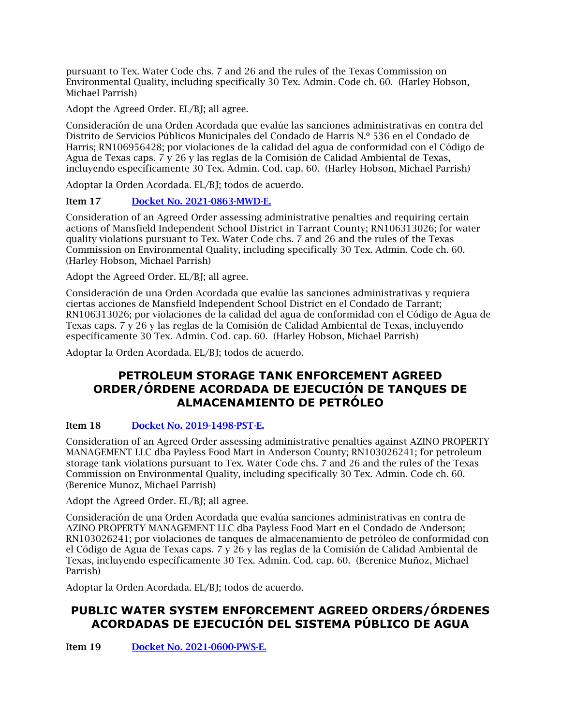pursuant to Tex. Water Code chs. 7 and 26 and the rules of the Texas Commission on Environmental Quality, including specifically 30 Tex. Admin. Code ch. 60. (Harley Hobson, Michael Parrish)

Adopt the Agreed Order. EL/BJ; all agree.

Consideración de una Orden Acordada que evalúe las sanciones administrativas en contra del Distrito de Servicios Públicos Municipales del Condado de Harris N.º 536 en el Condado de Harris; RN106956428; por violaciones de la calidad del agua de conformidad con el Código de Agua de Texas caps. 7 y 26 y las reglas de la Comisión de Calidad Ambiental de Texas, incluyendo específicamente 30 Tex. Admin. Cod. cap. 60. (Harley Hobson, Michael Parrish)

Adoptar la Orden Acordada. EL/BJ; todos de acuerdo.

## Item 17 [Docket No. 2021-0863-MWD-E.](https://www.tceq.texas.gov/downloads/agency/decisions/agendas/backup/2021/2021-0863-mwd-e.pdf)

Consideration of an Agreed Order assessing administrative penalties and requiring certain actions of Mansfield Independent School District in Tarrant County; RN106313026; for water quality violations pursuant to Tex. Water Code chs. 7 and 26 and the rules of the Texas Commission on Environmental Quality, including specifically 30 Tex. Admin. Code ch. 60. (Harley Hobson, Michael Parrish)

Adopt the Agreed Order. EL/BJ; all agree.

Consideración de una Orden Acordada que evalúe las sanciones administrativas y requiera ciertas acciones de Mansfield Independent School District en el Condado de Tarrant; RN106313026; por violaciones de la calidad del agua de conformidad con el Código de Agua de Texas caps. 7 y 26 y las reglas de la Comisión de Calidad Ambiental de Texas, incluyendo específicamente 30 Tex. Admin. Cod. cap. 60. (Harley Hobson, Michael Parrish)

Adoptar la Orden Acordada. EL/BJ; todos de acuerdo.

## **PETROLEUM STORAGE TANK ENFORCEMENT AGREED ORDER/ÓRDENE ACORDADA DE EJECUCIÓN DE TANQUES DE ALMACENAMIENTO DE PETRÓLEO**

## Item 18 [Docket No. 2019-1498-PST-E.](https://www.tceq.texas.gov/downloads/agency/decisions/agendas/backup/2019/2019-1498-pst-e.pdf)

Consideration of an Agreed Order assessing administrative penalties against AZINO PROPERTY MANAGEMENT LLC dba Payless Food Mart in Anderson County; RN103026241; for petroleum storage tank violations pursuant to Tex. Water Code chs. 7 and 26 and the rules of the Texas Commission on Environmental Quality, including specifically 30 Tex. Admin. Code ch. 60. (Berenice Munoz, Michael Parrish)

Adopt the Agreed Order. EL/BJ; all agree.

Consideración de una Orden Acordada que evalúa sanciones administrativas en contra de AZINO PROPERTY MANAGEMENT LLC dba Payless Food Mart en el Condado de Anderson; RN103026241; por violaciones de tanques de almacenamiento de petróleo de conformidad con el Código de Agua de Texas caps. 7 y 26 y las reglas de la Comisión de Calidad Ambiental de Texas, incluyendo específicamente 30 Tex. Admin. Cod. cap. 60. (Berenice Muñoz, Michael Parrish)

Adoptar la Orden Acordada. EL/BJ; todos de acuerdo.

## **PUBLIC WATER SYSTEM ENFORCEMENT AGREED ORDERS/ÓRDENES ACORDADAS DE EJECUCIÓN DEL SISTEMA PÚBLICO DE AGUA**

Item 19 [Docket No. 2021-0600-PWS-E.](https://www.tceq.texas.gov/downloads/agency/decisions/agendas/backup/2021/2021-0600-pws-e.pdf)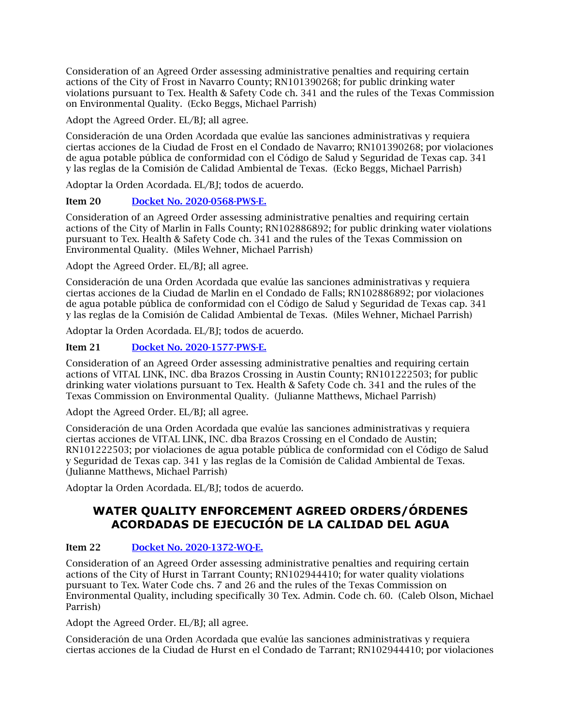Consideration of an Agreed Order assessing administrative penalties and requiring certain actions of the City of Frost in Navarro County; RN101390268; for public drinking water violations pursuant to Tex. Health & Safety Code ch. 341 and the rules of the Texas Commission on Environmental Quality. (Ecko Beggs, Michael Parrish)

Adopt the Agreed Order. EL/BJ; all agree.

Consideración de una Orden Acordada que evalúe las sanciones administrativas y requiera ciertas acciones de la Ciudad de Frost en el Condado de Navarro; RN101390268; por violaciones de agua potable pública de conformidad con el Código de Salud y Seguridad de Texas cap. 341 y las reglas de la Comisión de Calidad Ambiental de Texas. (Ecko Beggs, Michael Parrish)

Adoptar la Orden Acordada. EL/BJ; todos de acuerdo.

## Item 20 [Docket No. 2020-0568-PWS-E.](https://www.tceq.texas.gov/downloads/agency/decisions/agendas/backup/2020/2020-0568-pws-e.pdf)

Consideration of an Agreed Order assessing administrative penalties and requiring certain actions of the City of Marlin in Falls County; RN102886892; for public drinking water violations pursuant to Tex. Health & Safety Code ch. 341 and the rules of the Texas Commission on Environmental Quality. (Miles Wehner, Michael Parrish)

Adopt the Agreed Order. EL/BJ; all agree.

Consideración de una Orden Acordada que evalúe las sanciones administrativas y requiera ciertas acciones de la Ciudad de Marlin en el Condado de Falls; RN102886892; por violaciones de agua potable pública de conformidad con el Código de Salud y Seguridad de Texas cap. 341 y las reglas de la Comisión de Calidad Ambiental de Texas. (Miles Wehner, Michael Parrish)

Adoptar la Orden Acordada. EL/BJ; todos de acuerdo.

## Item 21 [Docket No. 2020-1577-PWS-E.](https://www.tceq.texas.gov/downloads/agency/decisions/agendas/backup/2020/2020-1577-pws-e.pdf)

Consideration of an Agreed Order assessing administrative penalties and requiring certain actions of VITAL LINK, INC. dba Brazos Crossing in Austin County; RN101222503; for public drinking water violations pursuant to Tex. Health & Safety Code ch. 341 and the rules of the Texas Commission on Environmental Quality. (Julianne Matthews, Michael Parrish)

Adopt the Agreed Order. EL/BJ; all agree.

Consideración de una Orden Acordada que evalúe las sanciones administrativas y requiera ciertas acciones de VITAL LINK, INC. dba Brazos Crossing en el Condado de Austin; RN101222503; por violaciones de agua potable pública de conformidad con el Código de Salud y Seguridad de Texas cap. 341 y las reglas de la Comisión de Calidad Ambiental de Texas. (Julianne Matthews, Michael Parrish)

Adoptar la Orden Acordada. EL/BJ; todos de acuerdo.

## **WATER QUALITY ENFORCEMENT AGREED ORDERS/ÓRDENES ACORDADAS DE EJECUCIÓN DE LA CALIDAD DEL AGUA**

## Item 22 [Docket No. 2020-1372-WQ-E.](https://www.tceq.texas.gov/downloads/agency/decisions/agendas/backup/2020/2020-1372-wq-e.pdf)

Consideration of an Agreed Order assessing administrative penalties and requiring certain actions of the City of Hurst in Tarrant County; RN102944410; for water quality violations pursuant to Tex. Water Code chs. 7 and 26 and the rules of the Texas Commission on Environmental Quality, including specifically 30 Tex. Admin. Code ch. 60. (Caleb Olson, Michael Parrish)

Adopt the Agreed Order. EL/BJ; all agree.

Consideración de una Orden Acordada que evalúe las sanciones administrativas y requiera ciertas acciones de la Ciudad de Hurst en el Condado de Tarrant; RN102944410; por violaciones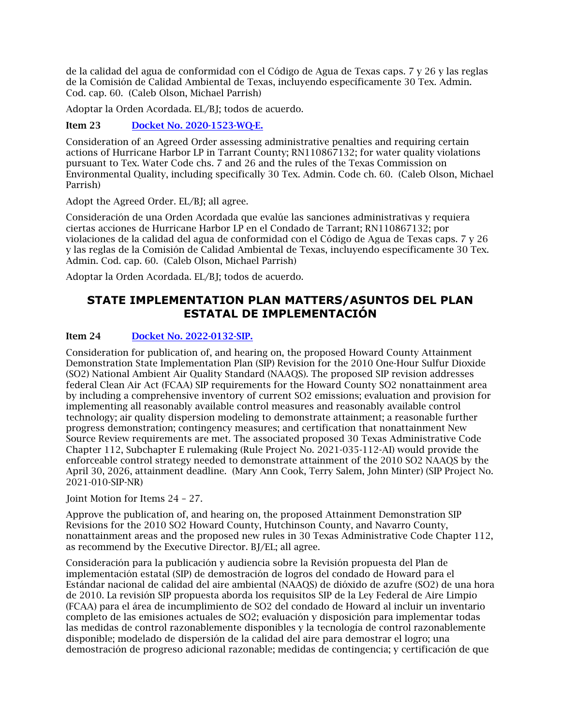de la calidad del agua de conformidad con el Código de Agua de Texas caps. 7 y 26 y las reglas de la Comisión de Calidad Ambiental de Texas, incluyendo específicamente 30 Tex. Admin. Cod. cap. 60. (Caleb Olson, Michael Parrish)

Adoptar la Orden Acordada. EL/BJ; todos de acuerdo.

### Item 23 [Docket No. 2020-1523-WQ-E.](https://www.tceq.texas.gov/downloads/agency/decisions/agendas/backup/2020/2020-1523-wq-e.pdf)

Consideration of an Agreed Order assessing administrative penalties and requiring certain actions of Hurricane Harbor LP in Tarrant County; RN110867132; for water quality violations pursuant to Tex. Water Code chs. 7 and 26 and the rules of the Texas Commission on Environmental Quality, including specifically 30 Tex. Admin. Code ch. 60. (Caleb Olson, Michael Parrish)

Adopt the Agreed Order. EL/BJ; all agree.

Consideración de una Orden Acordada que evalúe las sanciones administrativas y requiera ciertas acciones de Hurricane Harbor LP en el Condado de Tarrant; RN110867132; por violaciones de la calidad del agua de conformidad con el Código de Agua de Texas caps. 7 y 26 y las reglas de la Comisión de Calidad Ambiental de Texas, incluyendo específicamente 30 Tex. Admin. Cod. cap. 60. (Caleb Olson, Michael Parrish)

Adoptar la Orden Acordada. EL/BJ; todos de acuerdo.

## **STATE IMPLEMENTATION PLAN MATTERS/ASUNTOS DEL PLAN ESTATAL DE IMPLEMENTACIÓN**

### Item 24 [Docket No. 2022-0132-SIP.](https://www.tceq.texas.gov/downloads/agency/decisions/agendas/backup/2022/2022-0132-sip.pdf)

Consideration for publication of, and hearing on, the proposed Howard County Attainment Demonstration State Implementation Plan (SIP) Revision for the 2010 One-Hour Sulfur Dioxide (SO2) National Ambient Air Quality Standard (NAAQS). The proposed SIP revision addresses federal Clean Air Act (FCAA) SIP requirements for the Howard County SO2 nonattainment area by including a comprehensive inventory of current SO2 emissions; evaluation and provision for implementing all reasonably available control measures and reasonably available control technology; air quality dispersion modeling to demonstrate attainment; a reasonable further progress demonstration; contingency measures; and certification that nonattainment New Source Review requirements are met. The associated proposed 30 Texas Administrative Code Chapter 112, Subchapter E rulemaking (Rule Project No. 2021-035-112-AI) would provide the enforceable control strategy needed to demonstrate attainment of the 2010 SO2 NAAQS by the April 30, 2026, attainment deadline. (Mary Ann Cook, Terry Salem, John Minter) (SIP Project No. 2021-010-SIP-NR)

Joint Motion for Items 24 – 27.

Approve the publication of, and hearing on, the proposed Attainment Demonstration SIP Revisions for the 2010 SO2 Howard County, Hutchinson County, and Navarro County, nonattainment areas and the proposed new rules in 30 Texas Administrative Code Chapter 112, as recommend by the Executive Director. BJ/EL; all agree.

Consideración para la publicación y audiencia sobre la Revisión propuesta del Plan de implementación estatal (SIP) de demostración de logros del condado de Howard para el Estándar nacional de calidad del aire ambiental (NAAQS) de dióxido de azufre (SO2) de una hora de 2010. La revisión SIP propuesta aborda los requisitos SIP de la Ley Federal de Aire Limpio (FCAA) para el área de incumplimiento de SO2 del condado de Howard al incluir un inventario completo de las emisiones actuales de SO2; evaluación y disposición para implementar todas las medidas de control razonablemente disponibles y la tecnología de control razonablemente disponible; modelado de dispersión de la calidad del aire para demostrar el logro; una demostración de progreso adicional razonable; medidas de contingencia; y certificación de que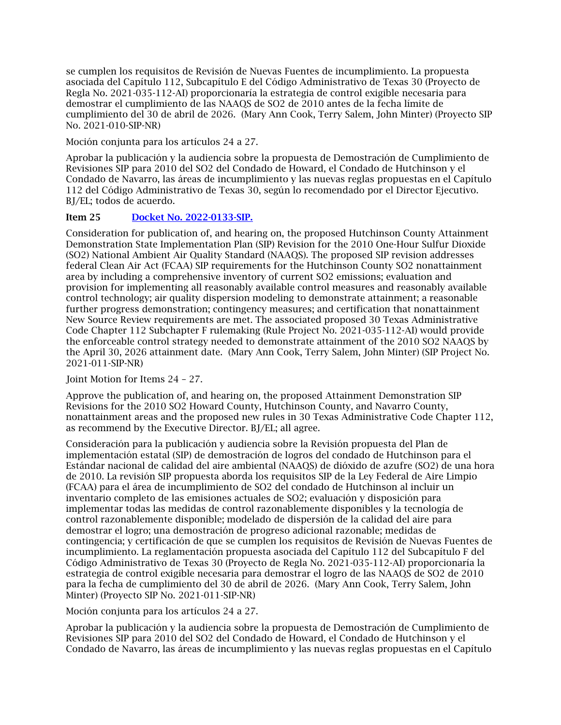se cumplen los requisitos de Revisión de Nuevas Fuentes de incumplimiento. La propuesta asociada del Capítulo 112, Subcapítulo E del Código Administrativo de Texas 30 (Proyecto de Regla No. 2021-035-112-AI) proporcionaría la estrategia de control exigible necesaria para demostrar el cumplimiento de las NAAQS de SO2 de 2010 antes de la fecha límite de cumplimiento del 30 de abril de 2026. (Mary Ann Cook, Terry Salem, John Minter) (Proyecto SIP No. 2021-010-SIP-NR)

Moción conjunta para los artículos 24 a 27.

Aprobar la publicación y la audiencia sobre la propuesta de Demostración de Cumplimiento de Revisiones SIP para 2010 del SO2 del Condado de Howard, el Condado de Hutchinson y el Condado de Navarro, las áreas de incumplimiento y las nuevas reglas propuestas en el Capítulo 112 del Código Administrativo de Texas 30, según lo recomendado por el Director Ejecutivo. BJ/EL; todos de acuerdo.

## Item 25 [Docket No. 2022-0133-SIP.](https://www.tceq.texas.gov/downloads/agency/decisions/agendas/backup/2022/2022-0133-sip.pdf)

Consideration for publication of, and hearing on, the proposed Hutchinson County Attainment Demonstration State Implementation Plan (SIP) Revision for the 2010 One-Hour Sulfur Dioxide (SO2) National Ambient Air Quality Standard (NAAQS). The proposed SIP revision addresses federal Clean Air Act (FCAA) SIP requirements for the Hutchinson County SO2 nonattainment area by including a comprehensive inventory of current SO2 emissions; evaluation and provision for implementing all reasonably available control measures and reasonably available control technology; air quality dispersion modeling to demonstrate attainment; a reasonable further progress demonstration; contingency measures; and certification that nonattainment New Source Review requirements are met. The associated proposed 30 Texas Administrative Code Chapter 112 Subchapter F rulemaking (Rule Project No. 2021-035-112-AI) would provide the enforceable control strategy needed to demonstrate attainment of the 2010 SO2 NAAQS by the April 30, 2026 attainment date. (Mary Ann Cook, Terry Salem, John Minter) (SIP Project No. 2021-011-SIP-NR)

Joint Motion for Items 24 – 27.

Approve the publication of, and hearing on, the proposed Attainment Demonstration SIP Revisions for the 2010 SO2 Howard County, Hutchinson County, and Navarro County, nonattainment areas and the proposed new rules in 30 Texas Administrative Code Chapter 112, as recommend by the Executive Director. BJ/EL; all agree.

Consideración para la publicación y audiencia sobre la Revisión propuesta del Plan de implementación estatal (SIP) de demostración de logros del condado de Hutchinson para el Estándar nacional de calidad del aire ambiental (NAAQS) de dióxido de azufre (SO2) de una hora de 2010. La revisión SIP propuesta aborda los requisitos SIP de la Ley Federal de Aire Limpio (FCAA) para el área de incumplimiento de SO2 del condado de Hutchinson al incluir un inventario completo de las emisiones actuales de SO2; evaluación y disposición para implementar todas las medidas de control razonablemente disponibles y la tecnología de control razonablemente disponible; modelado de dispersión de la calidad del aire para demostrar el logro; una demostración de progreso adicional razonable; medidas de contingencia; y certificación de que se cumplen los requisitos de Revisión de Nuevas Fuentes de incumplimiento. La reglamentación propuesta asociada del Capítulo 112 del Subcapítulo F del Código Administrativo de Texas 30 (Proyecto de Regla No. 2021-035-112-AI) proporcionaría la estrategia de control exigible necesaria para demostrar el logro de las NAAQS de SO2 de 2010 para la fecha de cumplimiento del 30 de abril de 2026. (Mary Ann Cook, Terry Salem, John Minter) (Proyecto SIP No. 2021-011-SIP-NR)

Moción conjunta para los artículos 24 a 27.

Aprobar la publicación y la audiencia sobre la propuesta de Demostración de Cumplimiento de Revisiones SIP para 2010 del SO2 del Condado de Howard, el Condado de Hutchinson y el Condado de Navarro, las áreas de incumplimiento y las nuevas reglas propuestas en el Capítulo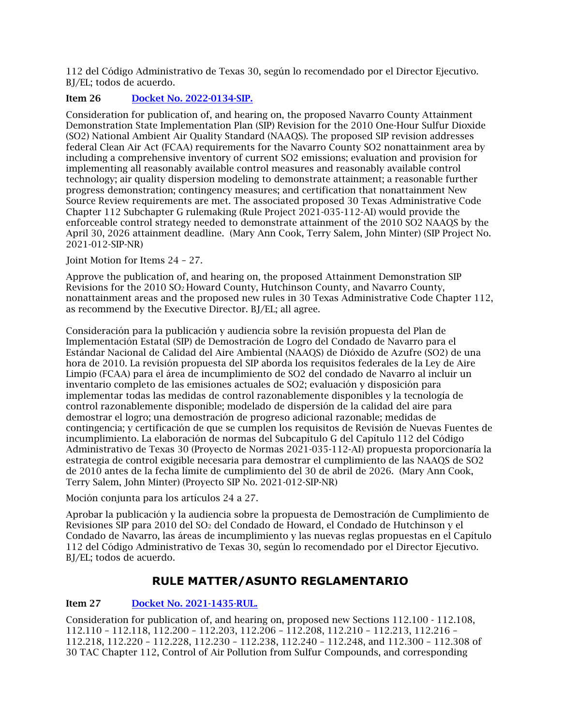112 del Código Administrativo de Texas 30, según lo recomendado por el Director Ejecutivo. BJ/EL; todos de acuerdo.

## Item 26 [Docket No. 2022-0134-SIP.](https://www.tceq.texas.gov/downloads/agency/decisions/agendas/backup/2022/2022-0134-sip.pdf)

Consideration for publication of, and hearing on, the proposed Navarro County Attainment Demonstration State Implementation Plan (SIP) Revision for the 2010 One-Hour Sulfur Dioxide (SO2) National Ambient Air Quality Standard (NAAQS). The proposed SIP revision addresses federal Clean Air Act (FCAA) requirements for the Navarro County SO2 nonattainment area by including a comprehensive inventory of current SO2 emissions; evaluation and provision for implementing all reasonably available control measures and reasonably available control technology; air quality dispersion modeling to demonstrate attainment; a reasonable further progress demonstration; contingency measures; and certification that nonattainment New Source Review requirements are met. The associated proposed 30 Texas Administrative Code Chapter 112 Subchapter G rulemaking (Rule Project 2021-035-112-AI) would provide the enforceable control strategy needed to demonstrate attainment of the 2010 SO2 NAAQS by the April 30, 2026 attainment deadline. (Mary Ann Cook, Terry Salem, John Minter) (SIP Project No. 2021-012-SIP-NR)

Joint Motion for Items 24 – 27.

Approve the publication of, and hearing on, the proposed Attainment Demonstration SIP Revisions for the 2010 SO2 Howard County, Hutchinson County, and Navarro County, nonattainment areas and the proposed new rules in 30 Texas Administrative Code Chapter 112, as recommend by the Executive Director. BJ/EL; all agree.

Consideración para la publicación y audiencia sobre la revisión propuesta del Plan de Implementación Estatal (SIP) de Demostración de Logro del Condado de Navarro para el Estándar Nacional de Calidad del Aire Ambiental (NAAQS) de Dióxido de Azufre (SO2) de una hora de 2010. La revisión propuesta del SIP aborda los requisitos federales de la Ley de Aire Limpio (FCAA) para el área de incumplimiento de SO2 del condado de Navarro al incluir un inventario completo de las emisiones actuales de SO2; evaluación y disposición para implementar todas las medidas de control razonablemente disponibles y la tecnología de control razonablemente disponible; modelado de dispersión de la calidad del aire para demostrar el logro; una demostración de progreso adicional razonable; medidas de contingencia; y certificación de que se cumplen los requisitos de Revisión de Nuevas Fuentes de incumplimiento. La elaboración de normas del Subcapítulo G del Capítulo 112 del Código Administrativo de Texas 30 (Proyecto de Normas 2021-035-112-AI) propuesta proporcionaría la estrategia de control exigible necesaria para demostrar el cumplimiento de las NAAQS de SO2 de 2010 antes de la fecha límite de cumplimiento del 30 de abril de 2026. (Mary Ann Cook, Terry Salem, John Minter) (Proyecto SIP No. 2021-012-SIP-NR)

Moción conjunta para los artículos 24 a 27.

Aprobar la publicación y la audiencia sobre la propuesta de Demostración de Cumplimiento de Revisiones SIP para 2010 del SO2 del Condado de Howard, el Condado de Hutchinson y el Condado de Navarro, las áreas de incumplimiento y las nuevas reglas propuestas en el Capítulo 112 del Código Administrativo de Texas 30, según lo recomendado por el Director Ejecutivo. BJ/EL; todos de acuerdo.

## **RULE MATTER/ASUNTO REGLAMENTARIO**

## Item 27 [Docket No. 2021-1435-RUL.](https://www.tceq.texas.gov/downloads/agency/decisions/agendas/backup/2021/2021-1435-rul.pdf)

Consideration for publication of, and hearing on, proposed new Sections 112.100 - 112.108, 112.110 – 112.118, 112.200 – 112.203, 112.206 – 112.208, 112.210 – 112.213, 112.216 – 112.218, 112.220 – 112.228, 112.230 – 112.238, 112.240 – 112.248, and 112.300 – 112.308 of 30 TAC Chapter 112, Control of Air Pollution from Sulfur Compounds, and corresponding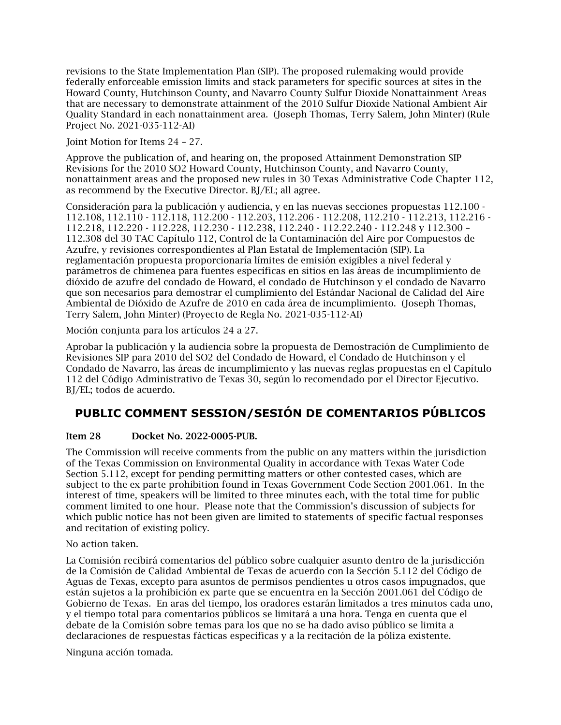revisions to the State Implementation Plan (SIP). The proposed rulemaking would provide federally enforceable emission limits and stack parameters for specific sources at sites in the Howard County, Hutchinson County, and Navarro County Sulfur Dioxide Nonattainment Areas that are necessary to demonstrate attainment of the 2010 Sulfur Dioxide National Ambient Air Quality Standard in each nonattainment area. (Joseph Thomas, Terry Salem, John Minter) (Rule Project No. 2021-035-112-AI)

Joint Motion for Items 24 – 27.

Approve the publication of, and hearing on, the proposed Attainment Demonstration SIP Revisions for the 2010 SO2 Howard County, Hutchinson County, and Navarro County, nonattainment areas and the proposed new rules in 30 Texas Administrative Code Chapter 112, as recommend by the Executive Director. BJ/EL; all agree.

Consideración para la publicación y audiencia, y en las nuevas secciones propuestas 112.100 - 112.108, 112.110 - 112.118, 112.200 - 112.203, 112.206 - 112.208, 112.210 - 112.213, 112.216 - 112.218, 112.220 - 112.228, 112.230 - 112.238, 112.240 - 112.22.240 - 112.248 y 112.300 – 112.308 del 30 TAC Capítulo 112, Control de la Contaminación del Aire por Compuestos de Azufre, y revisiones correspondientes al Plan Estatal de Implementación (SIP). La reglamentación propuesta proporcionaría límites de emisión exigibles a nivel federal y parámetros de chimenea para fuentes específicas en sitios en las áreas de incumplimiento de dióxido de azufre del condado de Howard, el condado de Hutchinson y el condado de Navarro que son necesarios para demostrar el cumplimiento del Estándar Nacional de Calidad del Aire Ambiental de Dióxido de Azufre de 2010 en cada área de incumplimiento. (Joseph Thomas, Terry Salem, John Minter) (Proyecto de Regla No. 2021-035-112-AI)

Moción conjunta para los artículos 24 a 27.

Aprobar la publicación y la audiencia sobre la propuesta de Demostración de Cumplimiento de Revisiones SIP para 2010 del SO2 del Condado de Howard, el Condado de Hutchinson y el Condado de Navarro, las áreas de incumplimiento y las nuevas reglas propuestas en el Capítulo 112 del Código Administrativo de Texas 30, según lo recomendado por el Director Ejecutivo. BJ/EL; todos de acuerdo.

## **PUBLIC COMMENT SESSION/SESIÓN DE COMENTARIOS PÚBLICOS**

## Item 28 Docket No. 2022-0005-PUB.

The Commission will receive comments from the public on any matters within the jurisdiction of the Texas Commission on Environmental Quality in accordance with Texas Water Code Section 5.112, except for pending permitting matters or other contested cases, which are subject to the ex parte prohibition found in Texas Government Code Section 2001.061. In the interest of time, speakers will be limited to three minutes each, with the total time for public comment limited to one hour. Please note that the Commission's discussion of subjects for which public notice has not been given are limited to statements of specific factual responses and recitation of existing policy.

No action taken.

La Comisión recibirá comentarios del público sobre cualquier asunto dentro de la jurisdicción de la Comisión de Calidad Ambiental de Texas de acuerdo con la Sección 5.112 del Código de Aguas de Texas, excepto para asuntos de permisos pendientes u otros casos impugnados, que están sujetos a la prohibición ex parte que se encuentra en la Sección 2001.061 del Código de Gobierno de Texas. En aras del tiempo, los oradores estarán limitados a tres minutos cada uno, y el tiempo total para comentarios públicos se limitará a una hora. Tenga en cuenta que el debate de la Comisión sobre temas para los que no se ha dado aviso público se limita a declaraciones de respuestas fácticas específicas y a la recitación de la póliza existente.

Ninguna acción tomada.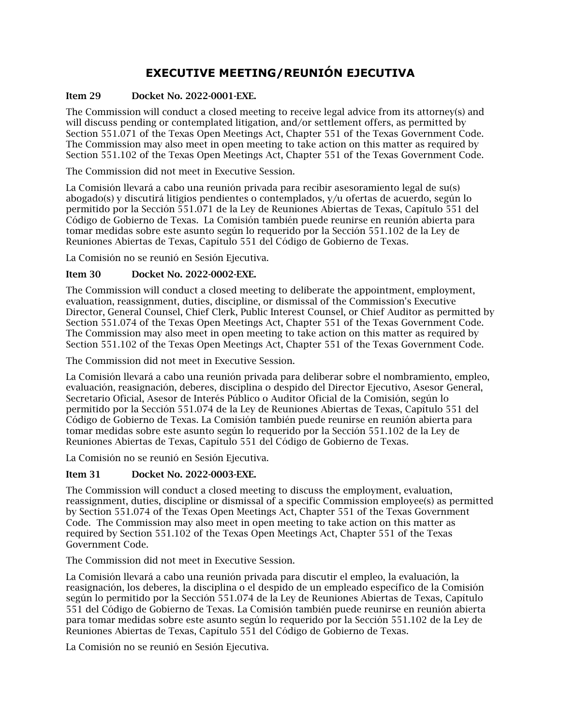## **EXECUTIVE MEETING/REUNIÓN EJECUTIVA**

### Item 29 Docket No. 2022-0001-EXE.

The Commission will conduct a closed meeting to receive legal advice from its attorney(s) and will discuss pending or contemplated litigation, and/or settlement offers, as permitted by Section 551.071 of the Texas Open Meetings Act, Chapter 551 of the Texas Government Code. The Commission may also meet in open meeting to take action on this matter as required by Section 551.102 of the Texas Open Meetings Act, Chapter 551 of the Texas Government Code.

The Commission did not meet in Executive Session.

La Comisión llevará a cabo una reunión privada para recibir asesoramiento legal de su(s) abogado(s) y discutirá litigios pendientes o contemplados, y/u ofertas de acuerdo, según lo permitido por la Sección 551.071 de la Ley de Reuniones Abiertas de Texas, Capítulo 551 del Código de Gobierno de Texas. La Comisión también puede reunirse en reunión abierta para tomar medidas sobre este asunto según lo requerido por la Sección 551.102 de la Ley de Reuniones Abiertas de Texas, Capítulo 551 del Código de Gobierno de Texas.

La Comisión no se reunió en Sesión Ejecutiva.

#### Item 30 Docket No. 2022-0002-EXE.

The Commission will conduct a closed meeting to deliberate the appointment, employment, evaluation, reassignment, duties, discipline, or dismissal of the Commission's Executive Director, General Counsel, Chief Clerk, Public Interest Counsel, or Chief Auditor as permitted by Section 551.074 of the Texas Open Meetings Act, Chapter 551 of the Texas Government Code. The Commission may also meet in open meeting to take action on this matter as required by Section 551.102 of the Texas Open Meetings Act, Chapter 551 of the Texas Government Code.

The Commission did not meet in Executive Session.

La Comisión llevará a cabo una reunión privada para deliberar sobre el nombramiento, empleo, evaluación, reasignación, deberes, disciplina o despido del Director Ejecutivo, Asesor General, Secretario Oficial, Asesor de Interés Público o Auditor Oficial de la Comisión, según lo permitido por la Sección 551.074 de la Ley de Reuniones Abiertas de Texas, Capítulo 551 del Código de Gobierno de Texas. La Comisión también puede reunirse en reunión abierta para tomar medidas sobre este asunto según lo requerido por la Sección 551.102 de la Ley de Reuniones Abiertas de Texas, Capítulo 551 del Código de Gobierno de Texas.

La Comisión no se reunió en Sesión Ejecutiva.

#### Item 31 Docket No. 2022-0003-EXE.

The Commission will conduct a closed meeting to discuss the employment, evaluation, reassignment, duties, discipline or dismissal of a specific Commission employee(s) as permitted by Section 551.074 of the Texas Open Meetings Act, Chapter 551 of the Texas Government Code. The Commission may also meet in open meeting to take action on this matter as required by Section 551.102 of the Texas Open Meetings Act, Chapter 551 of the Texas Government Code.

The Commission did not meet in Executive Session.

La Comisión llevará a cabo una reunión privada para discutir el empleo, la evaluación, la reasignación, los deberes, la disciplina o el despido de un empleado específico de la Comisión según lo permitido por la Sección 551.074 de la Ley de Reuniones Abiertas de Texas, Capítulo 551 del Código de Gobierno de Texas. La Comisión también puede reunirse en reunión abierta para tomar medidas sobre este asunto según lo requerido por la Sección 551.102 de la Ley de Reuniones Abiertas de Texas, Capítulo 551 del Código de Gobierno de Texas.

La Comisión no se reunió en Sesión Ejecutiva.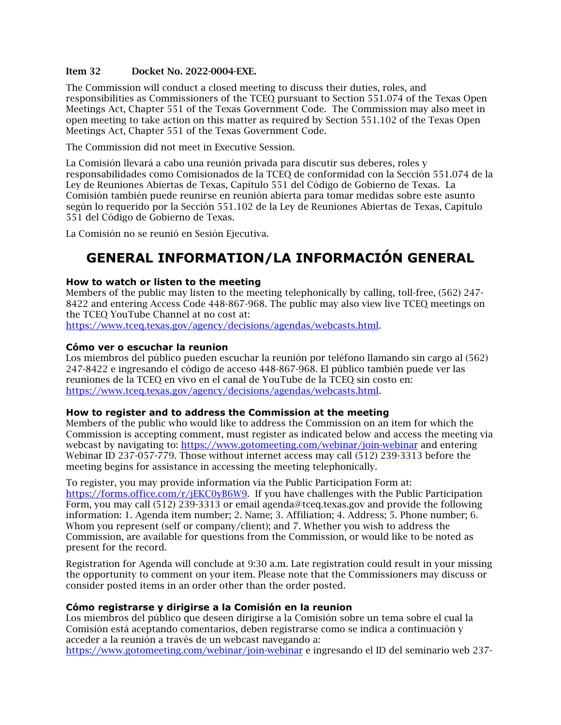#### Item 32 Docket No. 2022-0004-EXE.

The Commission will conduct a closed meeting to discuss their duties, roles, and responsibilities as Commissioners of the TCEQ pursuant to Section 551.074 of the Texas Open Meetings Act, Chapter 551 of the Texas Government Code. The Commission may also meet in open meeting to take action on this matter as required by Section 551.102 of the Texas Open Meetings Act, Chapter 551 of the Texas Government Code.

The Commission did not meet in Executive Session.

La Comisión llevará a cabo una reunión privada para discutir sus deberes, roles y responsabilidades como Comisionados de la TCEQ de conformidad con la Sección 551.074 de la Ley de Reuniones Abiertas de Texas, Capítulo 551 del Código de Gobierno de Texas. La Comisión también puede reunirse en reunión abierta para tomar medidas sobre este asunto según lo requerido por la Sección 551.102 de la Ley de Reuniones Abiertas de Texas, Capítulo 551 del Código de Gobierno de Texas.

<span id="page-15-0"></span>La Comisión no se reunió en Sesión Ejecutiva.

# **GENERAL INFORMATION/LA INFORMACIÓN GENERAL**

#### **How to watch or listen to the meeting**

Members of the public may listen to the meeting telephonically by calling, toll-free, (562) 247- 8422 and entering Access Code 448-867-968. The public may also view live TCEQ meetings on the TCEQ YouTube Channel at no cost at:

[https://www.tceq.texas.gov/agency/decisions/agendas/webcasts.html.](https://www.tceq.texas.gov/agency/decisions/agendas/webcasts.html)

#### **Cómo ver o escuchar la reunion**

Los miembros del público pueden escuchar la reunión por teléfono llamando sin cargo al (562) 247-8422 e ingresando el código de acceso 448-867-968. El público también puede ver las reuniones de la TCEQ en vivo en el canal de YouTube de la TCEQ sin costo en: [https://www.tceq.texas.gov/agency/decisions/agendas/webcasts.html.](https://www.tceq.texas.gov/agency/decisions/agendas/webcasts.html)

#### **How to register and to address the Commission at the meeting**

Members of the public who would like to address the Commission on an item for which the Commission is accepting comment, must register as indicated below and access the meeting via webcast by navigating to:<https://www.gotomeeting.com/webinar/join-webinar> and entering Webinar ID 237-057-779. Those without internet access may call (512) 239-3313 before the meeting begins for assistance in accessing the meeting telephonically.

To register, you may provide information via the Public Participation Form at: [https://forms.office.com/r/jEKC0yB6W9.](https://forms.office.com/r/jEKC0yB6W9) If you have challenges with the Public Participation Form, you may call (512) 239-3313 or email agenda@tceq.texas.gov and provide the following information: 1. Agenda item number; 2. Name; 3. Affiliation; 4. Address; 5. Phone number; 6. Whom you represent (self or company/client); and 7. Whether you wish to address the Commission, are available for questions from the Commission, or would like to be noted as present for the record.

Registration for Agenda will conclude at 9:30 a.m. Late registration could result in your missing the opportunity to comment on your item. Please note that the Commissioners may discuss or consider posted items in an order other than the order posted.

#### **Cómo registrarse y dirigirse a la Comisión en la reunion**

Los miembros del público que deseen dirigirse a la Comisión sobre un tema sobre el cual la Comisión está aceptando comentarios, deben registrarse como se indica a continuación y acceder a la reunión a través de un webcast navegando a:

<https://www.gotomeeting.com/webinar/join-webinar> e ingresando el ID del seminario web 237-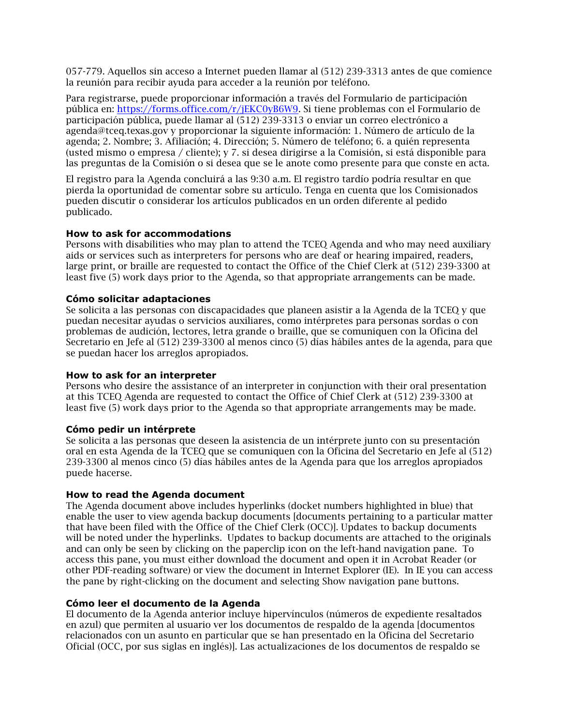057-779. Aquellos sin acceso a Internet pueden llamar al (512) 239-3313 antes de que comience la reunión para recibir ayuda para acceder a la reunión por teléfono.

Para registrarse, puede proporcionar información a través del Formulario de participación pública en: [https://forms.office.com/r/jEKC0yB6W9.](https://forms.office.com/r/jEKC0yB6W9) Si tiene problemas con el Formulario de participación pública, puede llamar al (512) 239-3313 o enviar un correo electrónico a agenda@tceq.texas.gov y proporcionar la siguiente información: 1. Número de artículo de la agenda; 2. Nombre; 3. Afiliación; 4. Dirección; 5. Número de teléfono; 6. a quién representa (usted mismo o empresa / cliente); y 7. si desea dirigirse a la Comisión, si está disponible para las preguntas de la Comisión o si desea que se le anote como presente para que conste en acta.

El registro para la Agenda concluirá a las 9:30 a.m. El registro tardío podría resultar en que pierda la oportunidad de comentar sobre su artículo. Tenga en cuenta que los Comisionados pueden discutir o considerar los artículos publicados en un orden diferente al pedido publicado.

#### **How to ask for accommodations**

Persons with disabilities who may plan to attend the TCEQ Agenda and who may need auxiliary aids or services such as interpreters for persons who are deaf or hearing impaired, readers, large print, or braille are requested to contact the Office of the Chief Clerk at (512) 239-3300 at least five (5) work days prior to the Agenda, so that appropriate arrangements can be made.

#### **Cómo solicitar adaptaciones**

Se solicita a las personas con discapacidades que planeen asistir a la Agenda de la TCEQ y que puedan necesitar ayudas o servicios auxiliares, como intérpretes para personas sordas o con problemas de audición, lectores, letra grande o braille, que se comuniquen con la Oficina del Secretario en Jefe al (512) 239-3300 al menos cinco (5) días hábiles antes de la agenda, para que se puedan hacer los arreglos apropiados.

#### **How to ask for an interpreter**

Persons who desire the assistance of an interpreter in conjunction with their oral presentation at this TCEQ Agenda are requested to contact the Office of Chief Clerk at (512) 239-3300 at least five (5) work days prior to the Agenda so that appropriate arrangements may be made.

#### **Cómo pedir un intérprete**

Se solicita a las personas que deseen la asistencia de un intérprete junto con su presentación oral en esta Agenda de la TCEQ que se comuniquen con la Oficina del Secretario en Jefe al (512) 239-3300 al menos cinco (5) días hábiles antes de la Agenda para que los arreglos apropiados puede hacerse.

#### **How to read the Agenda document**

The Agenda document above includes hyperlinks (docket numbers highlighted in blue) that enable the user to view agenda backup documents [documents pertaining to a particular matter that have been filed with the Office of the Chief Clerk (OCC)]. Updates to backup documents will be noted under the hyperlinks. Updates to backup documents are attached to the originals and can only be seen by clicking on the paperclip icon on the left-hand navigation pane. To access this pane, you must either download the document and open it in Acrobat Reader (or other PDF-reading software) or view the document in Internet Explorer (IE). In IE you can access the pane by right-clicking on the document and selecting Show navigation pane buttons.

#### **Cómo leer el documento de la Agenda**

El documento de la Agenda anterior incluye hipervínculos (números de expediente resaltados en azul) que permiten al usuario ver los documentos de respaldo de la agenda [documentos relacionados con un asunto en particular que se han presentado en la Oficina del Secretario Oficial (OCC, por sus siglas en inglés)]. Las actualizaciones de los documentos de respaldo se